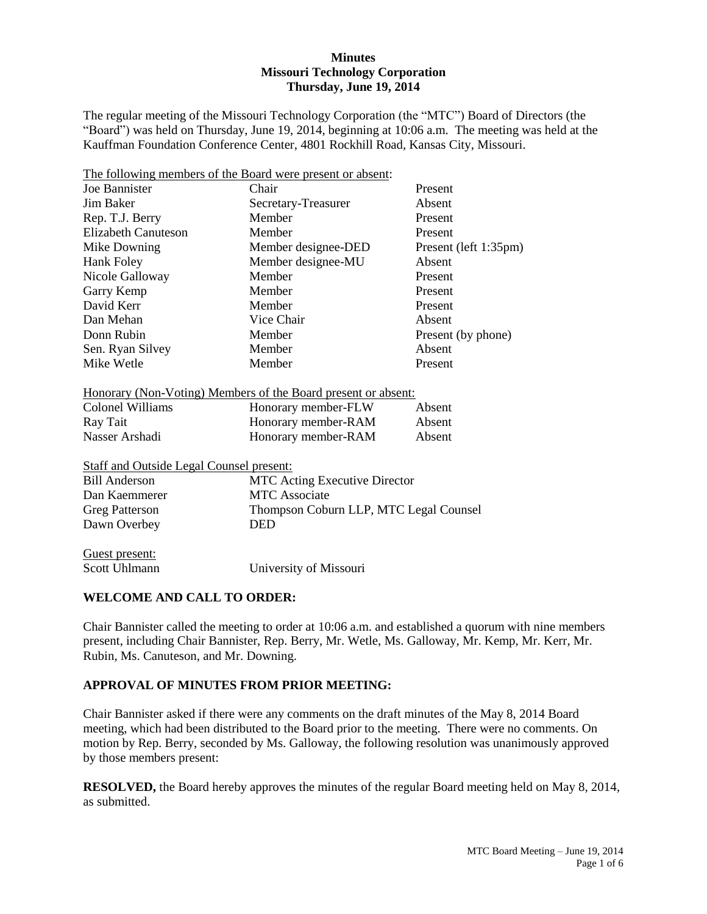### **Minutes Missouri Technology Corporation Thursday, June 19, 2014**

The regular meeting of the Missouri Technology Corporation (the "MTC") Board of Directors (the "Board") was held on Thursday, June 19, 2014, beginning at 10:06 a.m. The meeting was held at the Kauffman Foundation Conference Center, 4801 Rockhill Road, Kansas City, Missouri.

|                                                 | The following members of the Board were present or absent:    |                    |  |  |
|-------------------------------------------------|---------------------------------------------------------------|--------------------|--|--|
| Joe Bannister                                   | Chair<br>Present                                              |                    |  |  |
| Jim Baker                                       | Absent<br>Secretary-Treasurer                                 |                    |  |  |
| Rep. T.J. Berry                                 | Member                                                        | Present            |  |  |
| <b>Elizabeth Canuteson</b>                      | Member                                                        | Present            |  |  |
| Mike Downing                                    | Member designee-DED<br>Present (left 1:35pm)                  |                    |  |  |
| Hank Foley                                      | Member designee-MU                                            | Absent             |  |  |
| Nicole Galloway                                 | Member                                                        | Present            |  |  |
| Garry Kemp                                      | Member                                                        | Present            |  |  |
| David Kerr                                      | Member                                                        | Present            |  |  |
| Dan Mehan                                       | Vice Chair                                                    | Absent             |  |  |
| Donn Rubin                                      | Member                                                        | Present (by phone) |  |  |
| Sen. Ryan Silvey                                | Member                                                        | Absent             |  |  |
| Mike Wetle                                      | Member                                                        | Present            |  |  |
|                                                 | Honorary (Non-Voting) Members of the Board present or absent: |                    |  |  |
| <b>Colonel Williams</b>                         | Honorary member-FLW                                           | Absent             |  |  |
| Ray Tait                                        | Honorary member-RAM                                           | Absent             |  |  |
| Nasser Arshadi                                  | Honorary member-RAM                                           | Absent             |  |  |
| <b>Staff and Outside Legal Counsel present:</b> |                                                               |                    |  |  |
| <b>Bill Anderson</b>                            | <b>MTC Acting Executive Director</b>                          |                    |  |  |
| Dan Kaemmerer                                   | <b>MTC</b> Associate                                          |                    |  |  |
| <b>Greg Patterson</b>                           | Thompson Coburn LLP, MTC Legal Counsel                        |                    |  |  |
| Dawn Overbey                                    | <b>DED</b>                                                    |                    |  |  |
| Guest present:                                  |                                                               |                    |  |  |
| <b>Scott Uhlmann</b>                            | University of Missouri                                        |                    |  |  |

### **WELCOME AND CALL TO ORDER:**

Chair Bannister called the meeting to order at 10:06 a.m. and established a quorum with nine members present, including Chair Bannister, Rep. Berry, Mr. Wetle, Ms. Galloway, Mr. Kemp, Mr. Kerr, Mr. Rubin, Ms. Canuteson, and Mr. Downing.

## **APPROVAL OF MINUTES FROM PRIOR MEETING:**

Chair Bannister asked if there were any comments on the draft minutes of the May 8, 2014 Board meeting, which had been distributed to the Board prior to the meeting. There were no comments. On motion by Rep. Berry, seconded by Ms. Galloway, the following resolution was unanimously approved by those members present:

**RESOLVED,** the Board hereby approves the minutes of the regular Board meeting held on May 8, 2014, as submitted.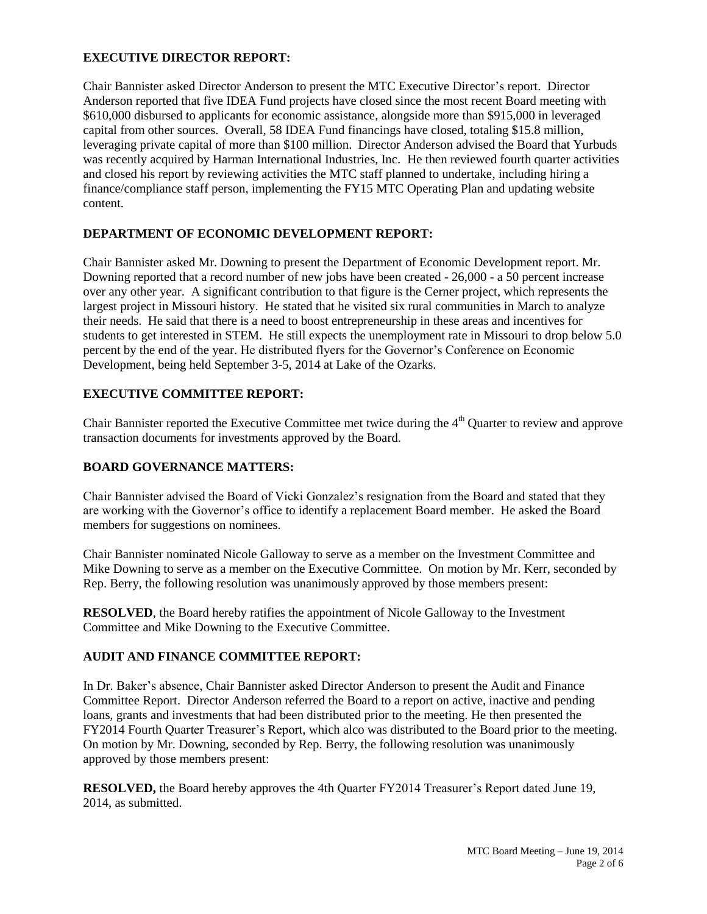## **EXECUTIVE DIRECTOR REPORT:**

Chair Bannister asked Director Anderson to present the MTC Executive Director's report. Director Anderson reported that five IDEA Fund projects have closed since the most recent Board meeting with \$610,000 disbursed to applicants for economic assistance, alongside more than \$915,000 in leveraged capital from other sources. Overall, 58 IDEA Fund financings have closed, totaling \$15.8 million, leveraging private capital of more than \$100 million. Director Anderson advised the Board that Yurbuds was recently acquired by Harman International Industries, Inc. He then reviewed fourth quarter activities and closed his report by reviewing activities the MTC staff planned to undertake, including hiring a finance/compliance staff person, implementing the FY15 MTC Operating Plan and updating website content.

## **DEPARTMENT OF ECONOMIC DEVELOPMENT REPORT:**

Chair Bannister asked Mr. Downing to present the Department of Economic Development report. Mr. Downing reported that a record number of new jobs have been created - 26,000 - a 50 percent increase over any other year. A significant contribution to that figure is the Cerner project, which represents the largest project in Missouri history. He stated that he visited six rural communities in March to analyze their needs. He said that there is a need to boost entrepreneurship in these areas and incentives for students to get interested in STEM. He still expects the unemployment rate in Missouri to drop below 5.0 percent by the end of the year. He distributed flyers for the Governor's Conference on Economic Development, being held September 3-5, 2014 at Lake of the Ozarks.

# **EXECUTIVE COMMITTEE REPORT:**

Chair Bannister reported the Executive Committee met twice during the 4<sup>th</sup> Quarter to review and approve transaction documents for investments approved by the Board.

## **BOARD GOVERNANCE MATTERS:**

Chair Bannister advised the Board of Vicki Gonzalez's resignation from the Board and stated that they are working with the Governor's office to identify a replacement Board member. He asked the Board members for suggestions on nominees.

Chair Bannister nominated Nicole Galloway to serve as a member on the Investment Committee and Mike Downing to serve as a member on the Executive Committee. On motion by Mr. Kerr, seconded by Rep. Berry, the following resolution was unanimously approved by those members present:

**RESOLVED**, the Board hereby ratifies the appointment of Nicole Galloway to the Investment Committee and Mike Downing to the Executive Committee.

## **AUDIT AND FINANCE COMMITTEE REPORT:**

In Dr. Baker's absence, Chair Bannister asked Director Anderson to present the Audit and Finance Committee Report. Director Anderson referred the Board to a report on active, inactive and pending loans, grants and investments that had been distributed prior to the meeting. He then presented the FY2014 Fourth Quarter Treasurer's Report, which alco was distributed to the Board prior to the meeting. On motion by Mr. Downing, seconded by Rep. Berry, the following resolution was unanimously approved by those members present:

**RESOLVED,** the Board hereby approves the 4th Quarter FY2014 Treasurer's Report dated June 19, 2014, as submitted.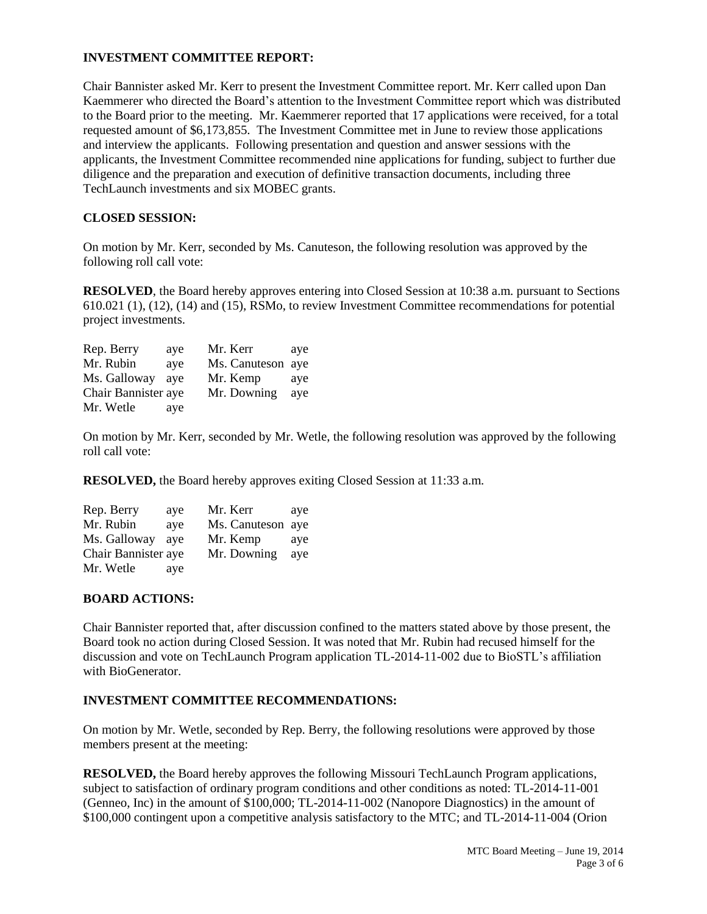### **INVESTMENT COMMITTEE REPORT:**

Chair Bannister asked Mr. Kerr to present the Investment Committee report. Mr. Kerr called upon Dan Kaemmerer who directed the Board's attention to the Investment Committee report which was distributed to the Board prior to the meeting. Mr. Kaemmerer reported that 17 applications were received, for a total requested amount of \$6,173,855. The Investment Committee met in June to review those applications and interview the applicants. Following presentation and question and answer sessions with the applicants, the Investment Committee recommended nine applications for funding, subject to further due diligence and the preparation and execution of definitive transaction documents, including three TechLaunch investments and six MOBEC grants.

### **CLOSED SESSION:**

On motion by Mr. Kerr, seconded by Ms. Canuteson, the following resolution was approved by the following roll call vote:

**RESOLVED**, the Board hereby approves entering into Closed Session at 10:38 a.m. pursuant to Sections 610.021 (1), (12), (14) and (15), RSMo, to review Investment Committee recommendations for potential project investments.

| Rep. Berry          | ave | Mr. Kerr          | ave |
|---------------------|-----|-------------------|-----|
| Mr. Rubin           | aye | Ms. Canuteson aye |     |
| Ms. Galloway        | ave | Mr. Kemp          | aye |
| Chair Bannister aye |     | Mr. Downing       | aye |
| Mr. Wetle           | aye |                   |     |

On motion by Mr. Kerr, seconded by Mr. Wetle, the following resolution was approved by the following roll call vote:

**RESOLVED,** the Board hereby approves exiting Closed Session at 11:33 a.m.

| Rep. Berry          | aye | Mr. Kerr          | aye |
|---------------------|-----|-------------------|-----|
| Mr. Rubin           | ave | Ms. Canuteson aye |     |
| Ms. Galloway        | ave | Mr. Kemp          | ave |
| Chair Bannister aye |     | Mr. Downing       | aye |
| Mr. Wetle           | aye |                   |     |

### **BOARD ACTIONS:**

Chair Bannister reported that, after discussion confined to the matters stated above by those present, the Board took no action during Closed Session. It was noted that Mr. Rubin had recused himself for the discussion and vote on TechLaunch Program application TL-2014-11-002 due to BioSTL's affiliation with BioGenerator

### **INVESTMENT COMMITTEE RECOMMENDATIONS:**

On motion by Mr. Wetle, seconded by Rep. Berry, the following resolutions were approved by those members present at the meeting:

**RESOLVED,** the Board hereby approves the following Missouri TechLaunch Program applications, subject to satisfaction of ordinary program conditions and other conditions as noted: TL-2014-11-001 (Genneo, Inc) in the amount of \$100,000; TL-2014-11-002 (Nanopore Diagnostics) in the amount of \$100,000 contingent upon a competitive analysis satisfactory to the MTC; and TL-2014-11-004 (Orion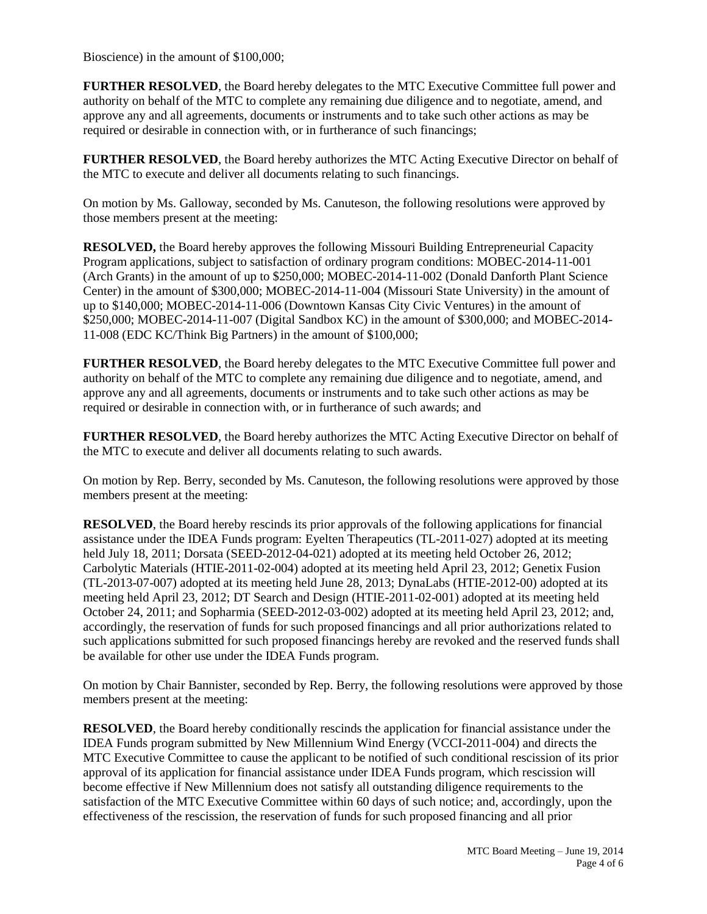Bioscience) in the amount of \$100,000;

**FURTHER RESOLVED**, the Board hereby delegates to the MTC Executive Committee full power and authority on behalf of the MTC to complete any remaining due diligence and to negotiate, amend, and approve any and all agreements, documents or instruments and to take such other actions as may be required or desirable in connection with, or in furtherance of such financings;

**FURTHER RESOLVED**, the Board hereby authorizes the MTC Acting Executive Director on behalf of the MTC to execute and deliver all documents relating to such financings.

On motion by Ms. Galloway, seconded by Ms. Canuteson, the following resolutions were approved by those members present at the meeting:

**RESOLVED,** the Board hereby approves the following Missouri Building Entrepreneurial Capacity Program applications, subject to satisfaction of ordinary program conditions: MOBEC-2014-11-001 (Arch Grants) in the amount of up to \$250,000; MOBEC-2014-11-002 (Donald Danforth Plant Science Center) in the amount of \$300,000; MOBEC-2014-11-004 (Missouri State University) in the amount of up to \$140,000; MOBEC-2014-11-006 (Downtown Kansas City Civic Ventures) in the amount of \$250,000; MOBEC-2014-11-007 (Digital Sandbox KC) in the amount of \$300,000; and MOBEC-2014- 11-008 (EDC KC/Think Big Partners) in the amount of \$100,000;

**FURTHER RESOLVED**, the Board hereby delegates to the MTC Executive Committee full power and authority on behalf of the MTC to complete any remaining due diligence and to negotiate, amend, and approve any and all agreements, documents or instruments and to take such other actions as may be required or desirable in connection with, or in furtherance of such awards; and

**FURTHER RESOLVED**, the Board hereby authorizes the MTC Acting Executive Director on behalf of the MTC to execute and deliver all documents relating to such awards.

On motion by Rep. Berry, seconded by Ms. Canuteson, the following resolutions were approved by those members present at the meeting:

**RESOLVED**, the Board hereby rescinds its prior approvals of the following applications for financial assistance under the IDEA Funds program: Eyelten Therapeutics (TL-2011-027) adopted at its meeting held July 18, 2011; Dorsata (SEED-2012-04-021) adopted at its meeting held October 26, 2012; Carbolytic Materials (HTIE-2011-02-004) adopted at its meeting held April 23, 2012; Genetix Fusion (TL-2013-07-007) adopted at its meeting held June 28, 2013; DynaLabs (HTIE-2012-00) adopted at its meeting held April 23, 2012; DT Search and Design (HTIE-2011-02-001) adopted at its meeting held October 24, 2011; and Sopharmia (SEED-2012-03-002) adopted at its meeting held April 23, 2012; and, accordingly, the reservation of funds for such proposed financings and all prior authorizations related to such applications submitted for such proposed financings hereby are revoked and the reserved funds shall be available for other use under the IDEA Funds program.

On motion by Chair Bannister, seconded by Rep. Berry, the following resolutions were approved by those members present at the meeting:

**RESOLVED**, the Board hereby conditionally rescinds the application for financial assistance under the IDEA Funds program submitted by New Millennium Wind Energy (VCCI-2011-004) and directs the MTC Executive Committee to cause the applicant to be notified of such conditional rescission of its prior approval of its application for financial assistance under IDEA Funds program, which rescission will become effective if New Millennium does not satisfy all outstanding diligence requirements to the satisfaction of the MTC Executive Committee within 60 days of such notice; and, accordingly, upon the effectiveness of the rescission, the reservation of funds for such proposed financing and all prior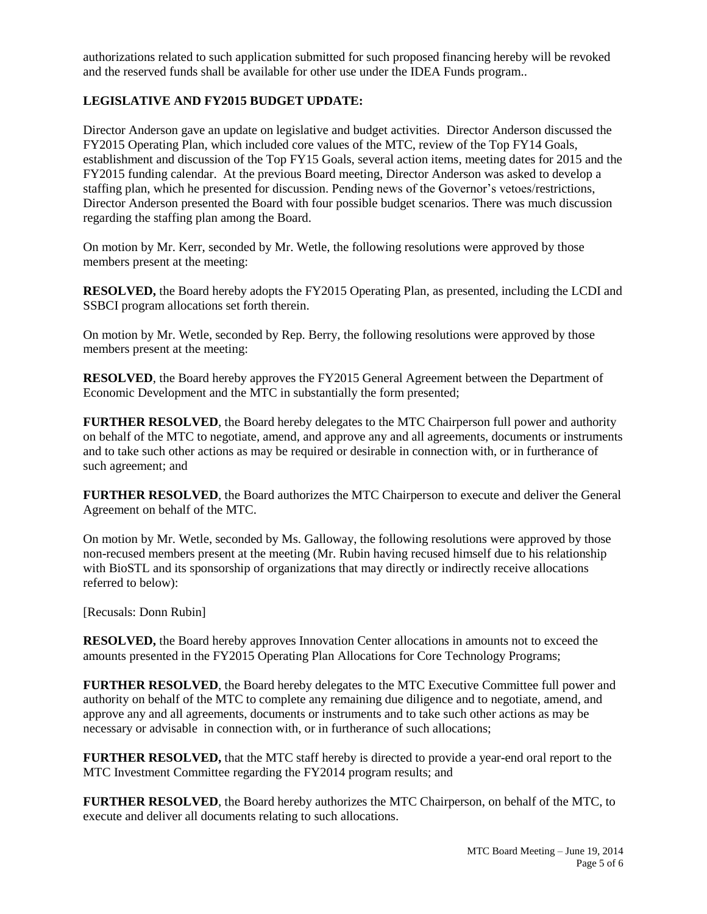authorizations related to such application submitted for such proposed financing hereby will be revoked and the reserved funds shall be available for other use under the IDEA Funds program..

## **LEGISLATIVE AND FY2015 BUDGET UPDATE:**

Director Anderson gave an update on legislative and budget activities. Director Anderson discussed the FY2015 Operating Plan, which included core values of the MTC, review of the Top FY14 Goals, establishment and discussion of the Top FY15 Goals, several action items, meeting dates for 2015 and the FY2015 funding calendar. At the previous Board meeting, Director Anderson was asked to develop a staffing plan, which he presented for discussion. Pending news of the Governor's vetoes/restrictions, Director Anderson presented the Board with four possible budget scenarios. There was much discussion regarding the staffing plan among the Board.

On motion by Mr. Kerr, seconded by Mr. Wetle, the following resolutions were approved by those members present at the meeting:

**RESOLVED,** the Board hereby adopts the FY2015 Operating Plan, as presented, including the LCDI and SSBCI program allocations set forth therein.

On motion by Mr. Wetle, seconded by Rep. Berry, the following resolutions were approved by those members present at the meeting:

**RESOLVED**, the Board hereby approves the FY2015 General Agreement between the Department of Economic Development and the MTC in substantially the form presented;

**FURTHER RESOLVED**, the Board hereby delegates to the MTC Chairperson full power and authority on behalf of the MTC to negotiate, amend, and approve any and all agreements, documents or instruments and to take such other actions as may be required or desirable in connection with, or in furtherance of such agreement; and

**FURTHER RESOLVED**, the Board authorizes the MTC Chairperson to execute and deliver the General Agreement on behalf of the MTC.

On motion by Mr. Wetle, seconded by Ms. Galloway, the following resolutions were approved by those non-recused members present at the meeting (Mr. Rubin having recused himself due to his relationship with BioSTL and its sponsorship of organizations that may directly or indirectly receive allocations referred to below):

[Recusals: Donn Rubin]

**RESOLVED,** the Board hereby approves Innovation Center allocations in amounts not to exceed the amounts presented in the FY2015 Operating Plan Allocations for Core Technology Programs;

**FURTHER RESOLVED, the Board hereby delegates to the MTC Executive Committee full power and** authority on behalf of the MTC to complete any remaining due diligence and to negotiate, amend, and approve any and all agreements, documents or instruments and to take such other actions as may be necessary or advisable in connection with, or in furtherance of such allocations;

**FURTHER RESOLVED,** that the MTC staff hereby is directed to provide a year-end oral report to the MTC Investment Committee regarding the FY2014 program results; and

**FURTHER RESOLVED**, the Board hereby authorizes the MTC Chairperson, on behalf of the MTC, to execute and deliver all documents relating to such allocations.